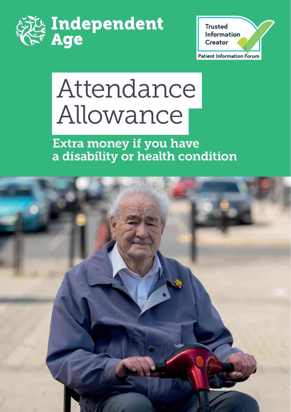



# Attendance Allowance

Extra money if you have a disability or health condition

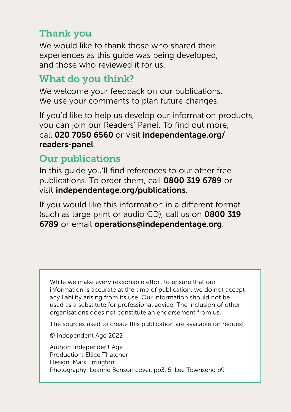#### Thank you

We would like to thank those who shared their experiences as this guide was being developed, and those who reviewed it for us.

### What do you think?

We welcome your feedback on our publications. We use your comments to plan future changes.

If you'd like to help us develop our information products, you can join our Readers' Panel. To find out more, call 020 7050 6560 or visit [independentage.org/](https://www.independentage.org/information/join-our-readers-panel) readers-panel.

#### Our publications

In this guide you'll find references to our other free publications. To order them, call 0800 319 6789 or visit [independentage.org/publications](http://independentage.org/publications).

If you would like this information in a different format (such as large print or audio CD), call us on 0800 319 6789 or email [operations@independentage.org](mailto:operations%40independentage.org?subject=).

While we make every reasonable effort to ensure that our information is accurate at the time of publication, we do not accept any liability arising from its use. Our information should not be used as a substitute for professional advice. The inclusion of other organisations does not constitute an endorsement from us.

The sources used to create this publication are available on request.

© Independent Age 2022

Author: Independent Age Production: Ellice Thatcher Design: Mark Errington Photography: Leanne Benson cover, pp3, 5; Lee Townsend p9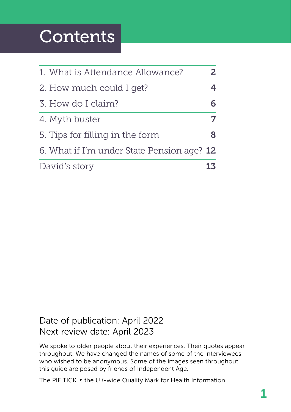### **Contents**

| 1. What is Attendance Allowance?           |  |
|--------------------------------------------|--|
| 2. How much could I get?                   |  |
| 3. How do I claim?                         |  |
| 4. Myth buster                             |  |
| 5. Tips for filling in the form            |  |
| 6. What if I'm under State Pension age? 12 |  |
| David's story                              |  |

#### Date of publication: April 2022 Next review date: April 2023

We spoke to older people about their experiences. Their quotes appear throughout. We have changed the names of some of the interviewees who wished to be anonymous. Some of the images seen throughout this guide are posed by friends of Independent Age.

The PIF TICK is the UK-wide Quality Mark for Health Information.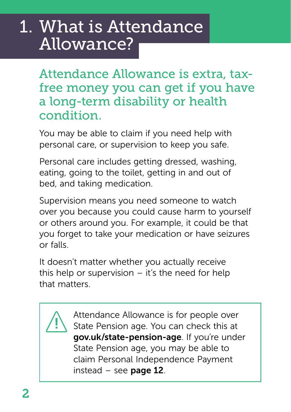### <span id="page-3-0"></span>1. What is Attendance Allowance?

Attendance Allowance is extra, taxfree money you can get if you have a long-term disability or health condition.

You may be able to claim if you need help with personal care, or supervision to keep you safe.

Personal care includes getting dressed, washing, eating, going to the toilet, getting in and out of bed, and taking medication.

Supervision means you need someone to watch over you because you could cause harm to yourself or others around you. For example, it could be that you forget to take your medication or have seizures or falls.

It doesn't matter whether you actually receive this help or supervision  $-$  it's the need for help that matters.



Attendance Allowance is for people over State Pension age. You can check this at [gov.uk/state-pension-age](http://gov.uk/state-pension-age). If you're under State Pension age, you may be able to claim Personal Independence Payment instead – see **[page 12](#page-13-0)**.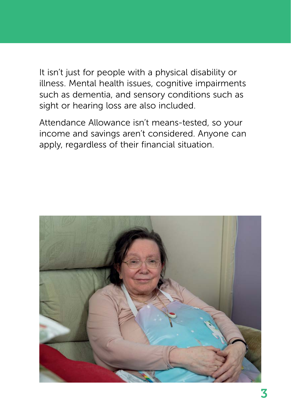It isn't just for people with a physical disability or illness. Mental health issues, cognitive impairments such as dementia, and sensory conditions such as sight or hearing loss are also included.

Attendance Allowance isn't means-tested, so your income and savings aren't considered. Anyone can apply, regardless of their financial situation.

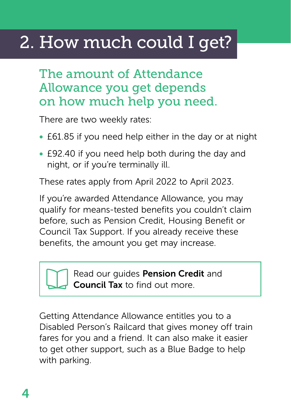# <span id="page-5-0"></span>2. How much could I get?

### The amount of Attendance Allowance you get depends on how much help you need.

There are two weekly rates:

- £61.85 if you need help either in the day or at night
- £92.40 if you need help both during the day and night, or if you're terminally ill.

These rates apply from April 2022 to April 2023.

If you're awarded Attendance Allowance, you may qualify for means-tested benefits you couldn't claim before, such as Pension Credit, Housing Benefit or Council Tax Support. If you already receive these benefits, the amount you get may increase.

> Read our guides [Pension Credit](https://www.independentage.org/information/advice-guides-factsheets-leaflets/pension-credit-guide) and [Council Tax](https://www.independentage.org/get-advice/advice-guides-factsheets-leaflets/council-tax) to find out more.

Getting Attendance Allowance entitles you to a Disabled Person's Railcard that gives money off train fares for you and a friend. It can also make it easier to get other support, such as a Blue Badge to help with parking.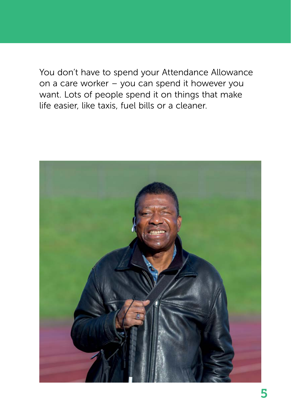You don't have to spend your Attendance Allowance on a care worker – you can spend it however you want. Lots of people spend it on things that make life easier, like taxis, fuel bills or a cleaner.

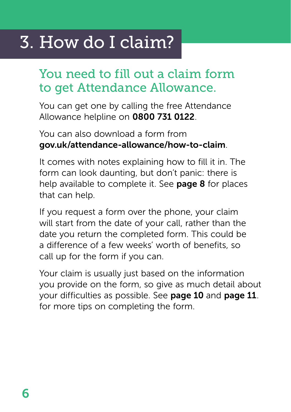### <span id="page-7-0"></span>3. How do I claim?

### You need to fill out a claim form to get Attendance Allowance.

You can get one by calling the free Attendance Allowance helpline on 0800 731 0122.

#### You can also download a form from [gov.uk/attendance-allowance/how-to-claim](http://gov.uk/attendance-allowance/how-to-claim).

It comes with notes explaining how to fill it in. The form can look daunting, but don't panic: there is help available to complete it. See **[page 8](#page-9-0)** for places that can help.

If you request a form over the phone, your claim will start from the date of your call, rather than the date you return the completed form. This could be a difference of a few weeks' worth of benefits, so call up for the form if you can.

Your claim is usually just based on the information you provide on the form, so give as much detail about your difficulties as possible. See [page 10](#page-11-0) and [page 11](#page-12-0). for more tips on completing the form.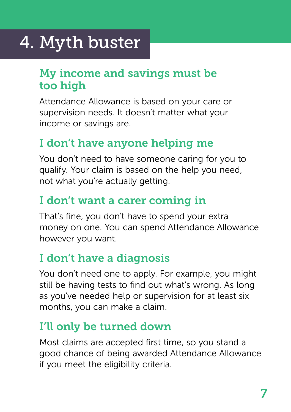# <span id="page-8-0"></span>4. Myth buster

### My income and savings must be too high

Attendance Allowance is based on your care or supervision needs. It doesn't matter what your income or savings are.

### I don't have anyone helping me

You don't need to have someone caring for you to qualify. Your claim is based on the help you need, not what you're actually getting.

### I don't want a carer coming in

That's fine, you don't have to spend your extra money on one. You can spend Attendance Allowance however you want.

### I don't have a diagnosis

You don't need one to apply. For example, you might still be having tests to find out what's wrong. As long as you've needed help or supervision for at least six months, you can make a claim.

### I'll only be turned down

Most claims are accepted first time, so you stand a good chance of being awarded Attendance Allowance if you meet the eligibility criteria.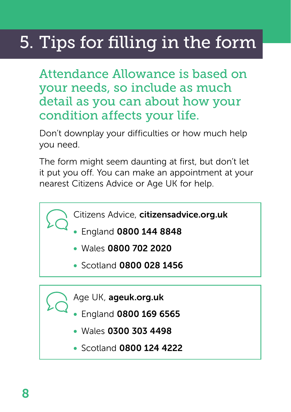# <span id="page-9-0"></span>5. Tips for filling in the form

Attendance Allowance is based on your needs, so include as much detail as you can about how your condition affects your life.

Don't downplay your difficulties or how much help you need.

The form might seem daunting at first, but don't let it put you off. You can make an appointment at your nearest Citizens Advice or Age UK for help.

- Citizens Advice, [citizensadvice.org.uk](http://citizensadvice.org.uk)
	- England 0800 144 8848
	- Wales 0800 702 2020
	- Scotland 0800 028 1456

Age UK, [ageuk.org.uk](http://ageuk.org.uk)

- England 0800 169 6565
	- Wales 0300 303 4498
	- Scotland 0800 124 4222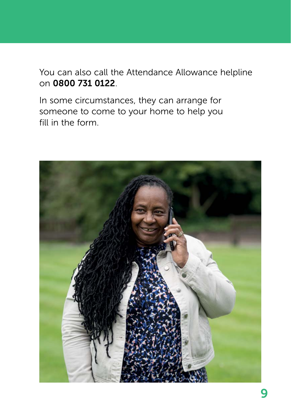You can also call the Attendance Allowance helpline on 0800 731 0122.

In some circumstances, they can arrange for someone to come to your home to help you fill in the form.

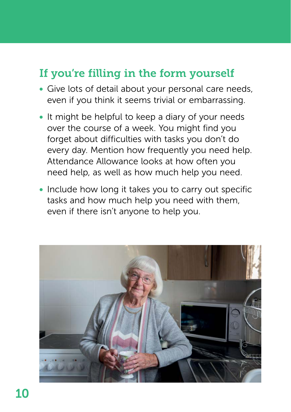### <span id="page-11-0"></span>If you're filling in the form yourself

- Give lots of detail about your personal care needs, even if you think it seems trivial or embarrassing.
- It might be helpful to keep a diary of your needs over the course of a week. You might find you forget about difficulties with tasks you don't do every day. Mention how frequently you need help. Attendance Allowance looks at how often you need help, as well as how much help you need.
- Include how long it takes you to carry out specific tasks and how much help you need with them, even if there isn't anyone to help you.

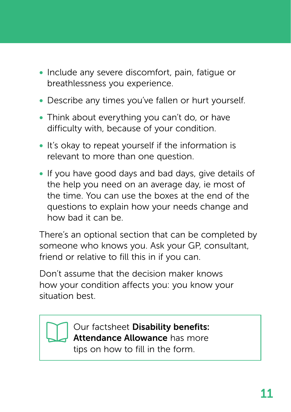- <span id="page-12-0"></span>• Include any severe discomfort, pain, fatigue or breathlessness you experience.
- Describe any times you've fallen or hurt yourself.
- Think about everything you can't do, or have difficulty with, because of your condition.
- It's okay to repeat yourself if the information is relevant to more than one question.
- If you have good days and bad days, give details of the help you need on an average day, ie most of the time. You can use the boxes at the end of the questions to explain how your needs change and how bad it can be.

There's an optional section that can be completed by someone who knows you. Ask your GP, consultant, friend or relative to fill this in if you can.

Don't assume that the decision maker knows how your condition affects you: you know your situation best.



Our factsheet Disability benefits: [Attendance Allowance](https://www.independentage.org/get-advice/disability-benefits-attendance-allowance) has more tips on how to fill in the form.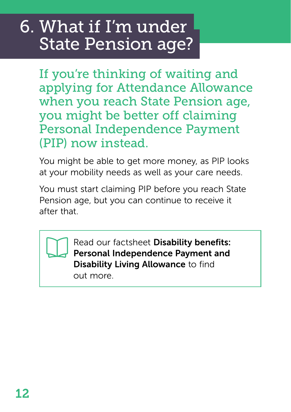### <span id="page-13-0"></span>6. What if I'm under State Pension age?

If you're thinking of waiting and applying for Attendance Allowance when you reach State Pension age, you might be better off claiming Personal Independence Payment (PIP) now instead.

You might be able to get more money, as PIP looks at your mobility needs as well as your care needs.

You must start claiming PIP before you reach State Pension age, but you can continue to receive it after that.

> Read our factsheet Disability benefits: [Personal Independence Payment and](https://www.independentage.org/information/advice-guides-factsheets-leaflets/disability-benefits-personal-independence-payment-and-disability-living-allowance)  Disability Living Allowance to find out more.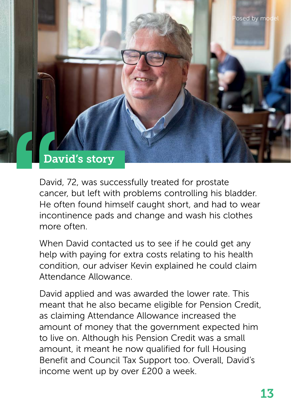

David, 72, was successfully treated for prostate cancer, but left with problems controlling his bladder. He often found himself caught short, and had to wear incontinence pads and change and wash his clothes more often.

When David contacted us to see if he could get any help with paying for extra costs relating to his health condition, our adviser Kevin explained he could claim Attendance Allowance.

David applied and was awarded the lower rate. This meant that he also became eligible for Pension Credit, as claiming Attendance Allowance increased the amount of money that the government expected him to live on. Although his Pension Credit was a small amount, it meant he now qualified for full Housing Benefit and Council Tax Support too. Overall, David's income went up by over £200 a week.